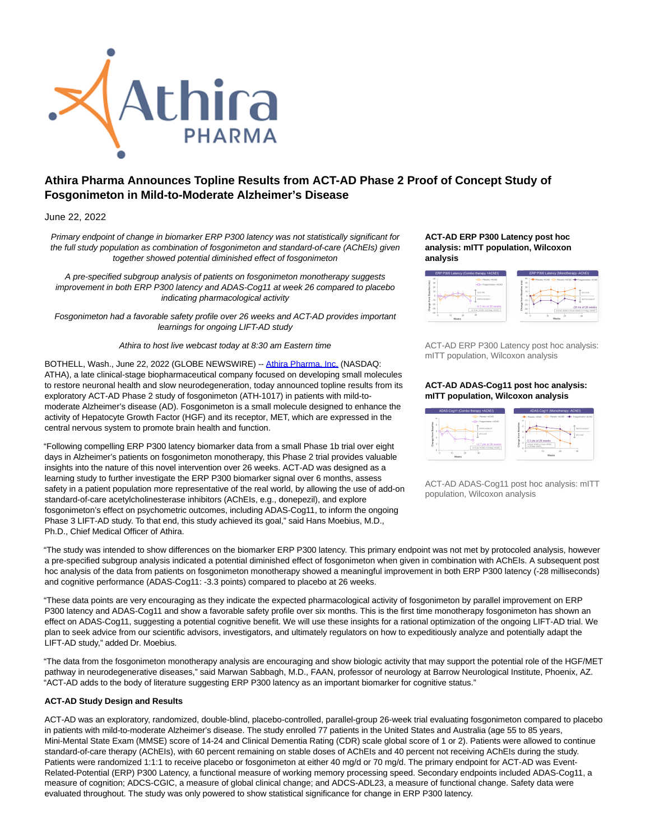

# **Athira Pharma Announces Topline Results from ACT-AD Phase 2 Proof of Concept Study of Fosgonimeton in Mild-to-Moderate Alzheimer's Disease**

June 22, 2022

Primary endpoint of change in biomarker ERP P300 latency was not statistically significant for the full study population as combination of fosgonimeton and standard-of-care (AChEIs) given together showed potential diminished effect of fosgonimeton

A pre-specified subgroup analysis of patients on fosgonimeton monotherapy suggests improvement in both ERP P300 latency and ADAS-Cog11 at week 26 compared to placebo indicating pharmacological activity

Fosgonimeton had a favorable safety profile over 26 weeks and ACT-AD provides important learnings for ongoing LIFT-AD study

Athira to host live webcast today at 8:30 am Eastern time

BOTHELL, Wash., June 22, 2022 (GLOBE NEWSWIRE) -- [Athira Pharma, Inc. \(](https://www.globenewswire.com/Tracker?data=c27C5GPIrY2zFOb1QGgH0UrLKXWH3jW2cD_9svbemWVHtCAiboZPOK8VrQrNRPWY14gTHWKsRKd8RdYmpSf3wg==)NASDAQ: ATHA), a late clinical-stage biopharmaceutical company focused on developing small molecules to restore neuronal health and slow neurodegeneration, today announced topline results from its exploratory ACT-AD Phase 2 study of fosgonimeton (ATH-1017) in patients with mild-tomoderate Alzheimer's disease (AD). Fosgonimeton is a small molecule designed to enhance the activity of Hepatocyte Growth Factor (HGF) and its receptor, MET, which are expressed in the central nervous system to promote brain health and function.

"Following compelling ERP P300 latency biomarker data from a small Phase 1b trial over eight days in Alzheimer's patients on fosgonimeton monotherapy, this Phase 2 trial provides valuable insights into the nature of this novel intervention over 26 weeks. ACT-AD was designed as a learning study to further investigate the ERP P300 biomarker signal over 6 months, assess safety in a patient population more representative of the real world, by allowing the use of add-on standard-of-care acetylcholinesterase inhibitors (AChEIs, e.g., donepezil), and explore fosgonimeton's effect on psychometric outcomes, including ADAS-Cog11, to inform the ongoing Phase 3 LIFT-AD study. To that end, this study achieved its goal," said Hans Moebius, M.D., Ph.D., Chief Medical Officer of Athira.

## **ACT-AD ERP P300 Latency post hoc analysis: mITT population, Wilcoxon analysis**



ACT-AD ERP P300 Latency post hoc analysis: mITT population, Wilcoxon analysis

## **ACT-AD ADAS-Cog11 post hoc analysis: mITT population, Wilcoxon analysis**



ACT-AD ADAS-Cog11 post hoc analysis: mITT population, Wilcoxon analysis

"The study was intended to show differences on the biomarker ERP P300 latency. This primary endpoint was not met by protocoled analysis, however a pre-specified subgroup analysis indicated a potential diminished effect of fosgonimeton when given in combination with AChEIs. A subsequent post hoc analysis of the data from patients on fosgonimeton monotherapy showed a meaningful improvement in both ERP P300 latency (-28 milliseconds) and cognitive performance (ADAS-Cog11: -3.3 points) compared to placebo at 26 weeks.

"These data points are very encouraging as they indicate the expected pharmacological activity of fosgonimeton by parallel improvement on ERP P300 latency and ADAS-Cog11 and show a favorable safety profile over six months. This is the first time monotherapy fosgonimeton has shown an effect on ADAS-Cog11, suggesting a potential cognitive benefit. We will use these insights for a rational optimization of the ongoing LIFT-AD trial. We plan to seek advice from our scientific advisors, investigators, and ultimately regulators on how to expeditiously analyze and potentially adapt the LIFT-AD study," added Dr. Moebius.

"The data from the fosgonimeton monotherapy analysis are encouraging and show biologic activity that may support the potential role of the HGF/MET pathway in neurodegenerative diseases," said Marwan Sabbagh, M.D., FAAN, professor of neurology at Barrow Neurological Institute, Phoenix, AZ. "ACT-AD adds to the body of literature suggesting ERP P300 latency as an important biomarker for cognitive status."

# **ACT-AD Study Design and Results**

ACT-AD was an exploratory, randomized, double-blind, placebo-controlled, parallel-group 26-week trial evaluating fosgonimeton compared to placebo in patients with mild-to-moderate Alzheimer's disease. The study enrolled 77 patients in the United States and Australia (age 55 to 85 years, Mini-Mental State Exam (MMSE) score of 14-24 and Clinical Dementia Rating (CDR) scale global score of 1 or 2). Patients were allowed to continue standard-of-care therapy (AChEIs), with 60 percent remaining on stable doses of AChEIs and 40 percent not receiving AChEIs during the study. Patients were randomized 1:1:1 to receive placebo or fosgonimeton at either 40 mg/d or 70 mg/d. The primary endpoint for ACT-AD was Event-Related-Potential (ERP) P300 Latency, a functional measure of working memory processing speed. Secondary endpoints included ADAS-Cog11, a measure of cognition; ADCS-CGIC, a measure of global clinical change; and ADCS-ADL23, a measure of functional change. Safety data were evaluated throughout. The study was only powered to show statistical significance for change in ERP P300 latency.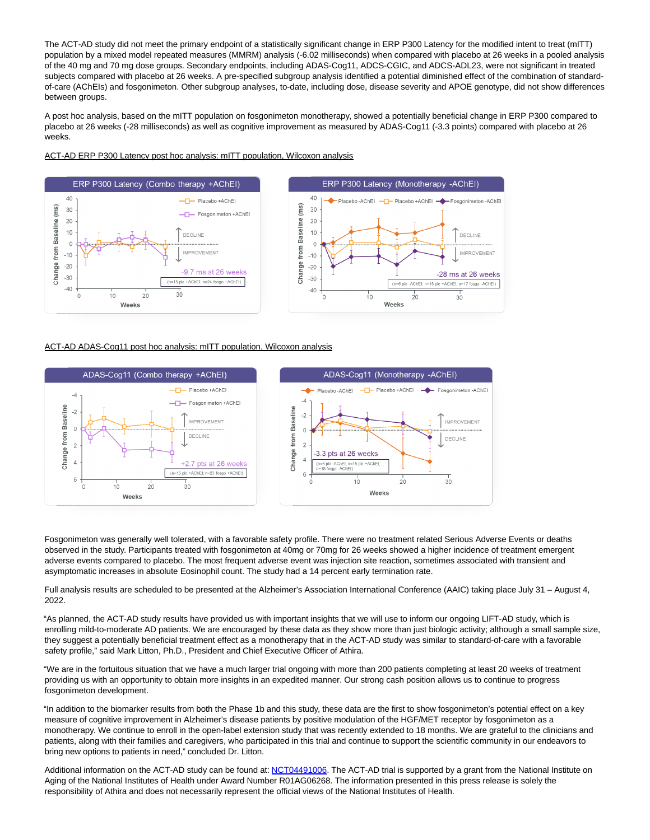The ACT-AD study did not meet the primary endpoint of a statistically significant change in ERP P300 Latency for the modified intent to treat (mITT) population by a mixed model repeated measures (MMRM) analysis (-6.02 milliseconds) when compared with placebo at 26 weeks in a pooled analysis of the 40 mg and 70 mg dose groups. Secondary endpoints, including ADAS-Cog11, ADCS-CGIC, and ADCS-ADL23, were not significant in treated subjects compared with placebo at 26 weeks. A pre-specified subgroup analysis identified a potential diminished effect of the combination of standardof-care (AChEIs) and fosgonimeton. Other subgroup analyses, to-date, including dose, disease severity and APOE genotype, did not show differences between groups.

A post hoc analysis, based on the mITT population on fosgonimeton monotherapy, showed a potentially beneficial change in ERP P300 compared to placebo at 26 weeks (-28 milliseconds) as well as cognitive improvement as measured by ADAS-Cog11 (-3.3 points) compared with placebo at 26 weeks.

# ACT-AD ERP P300 Latency post hoc analysis: mITT population, Wilcoxon analysis



# ACT-AD ADAS-Cog11 post hoc analysis: mITT population, Wilcoxon analysis



Fosgonimeton was generally well tolerated, with a favorable safety profile. There were no treatment related Serious Adverse Events or deaths observed in the study. Participants treated with fosgonimeton at 40mg or 70mg for 26 weeks showed a higher incidence of treatment emergent adverse events compared to placebo. The most frequent adverse event was injection site reaction, sometimes associated with transient and asymptomatic increases in absolute Eosinophil count. The study had a 14 percent early termination rate.

Full analysis results are scheduled to be presented at the Alzheimer's Association International Conference (AAIC) taking place July 31 – August 4, 2022.

"As planned, the ACT-AD study results have provided us with important insights that we will use to inform our ongoing LIFT-AD study, which is enrolling mild-to-moderate AD patients. We are encouraged by these data as they show more than just biologic activity; although a small sample size, they suggest a potentially beneficial treatment effect as a monotherapy that in the ACT-AD study was similar to standard-of-care with a favorable safety profile," said Mark Litton, Ph.D., President and Chief Executive Officer of Athira.

"We are in the fortuitous situation that we have a much larger trial ongoing with more than 200 patients completing at least 20 weeks of treatment providing us with an opportunity to obtain more insights in an expedited manner. Our strong cash position allows us to continue to progress fosgonimeton development.

"In addition to the biomarker results from both the Phase 1b and this study, these data are the first to show fosgonimeton's potential effect on a key measure of cognitive improvement in Alzheimer's disease patients by positive modulation of the HGF/MET receptor by fosgonimeton as a monotherapy. We continue to enroll in the open-label extension study that was recently extended to 18 months. We are grateful to the clinicians and patients, along with their families and caregivers, who participated in this trial and continue to support the scientific community in our endeavors to bring new options to patients in need," concluded Dr. Litton.

Additional information on the ACT-AD study can be found at: [NCT04491006.](https://www.globenewswire.com/Tracker?data=E9ji_QENOMiQXT_khnQ9biaGbBnPgdHFjXqbEeAACKqJUG2OQX5rSmjg6rK5FJUhzKCh_PN7b9EbXgnPuSb72JvsVA6OcCgcE6zO7zQSKhAke0Sjo8vVxFWuilaT607cg9xIXUN0I8vHWeCSch6Xzw==) The ACT-AD trial is supported by a grant from the National Institute on Aging of the National Institutes of Health under Award Number R01AG06268. The information presented in this press release is solely the responsibility of Athira and does not necessarily represent the official views of the National Institutes of Health.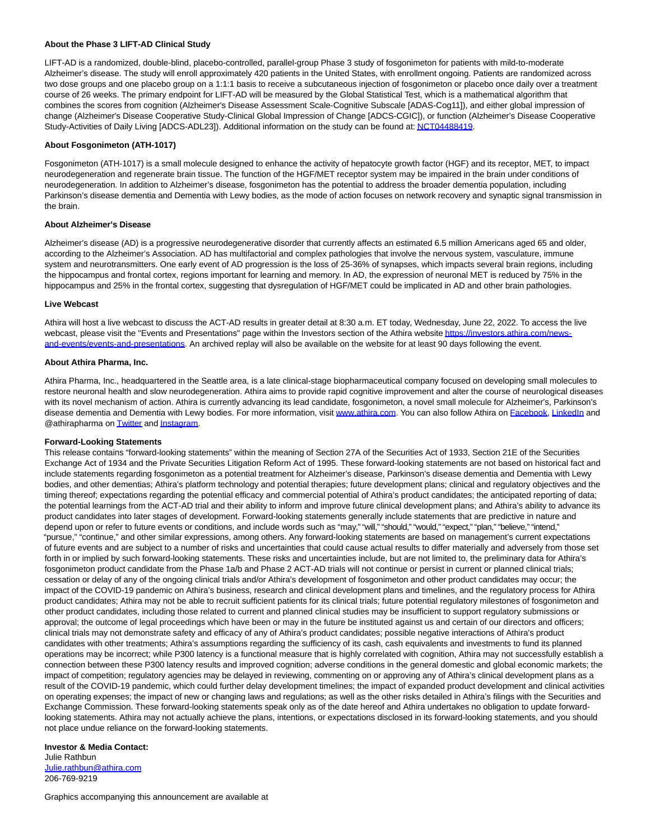#### **About the Phase 3 LIFT-AD Clinical Study**

LIFT-AD is a randomized, double-blind, placebo-controlled, parallel-group Phase 3 study of fosgonimeton for patients with mild-to-moderate Alzheimer's disease. The study will enroll approximately 420 patients in the United States, with enrollment ongoing. Patients are randomized across two dose groups and one placebo group on a 1:1:1 basis to receive a subcutaneous injection of fosgonimeton or placebo once daily over a treatment course of 26 weeks. The primary endpoint for LIFT-AD will be measured by the Global Statistical Test, which is a mathematical algorithm that combines the scores from cognition (Alzheimer's Disease Assessment Scale-Cognitive Subscale [ADAS-Cog11]), and either global impression of change (Alzheimer's Disease Cooperative Study-Clinical Global Impression of Change [ADCS-CGIC]), or function (Alzheimer's Disease Cooperative Study-Activities of Daily Living [ADCS-ADL23]). Additional information on the study can be found at[: NCT04488419.](https://www.globenewswire.com/Tracker?data=E9ji_QENOMiQXT_khnQ9bhqqvlmYkgT1Wnu3wG3JsGmqL-67jaOWKo7p_rG8kugd7zi0VlCSb6sZvHpMJfetmaNqRNHoiIk_TydqREH44WWKPyP_z_gVlbWUCN12QUMNgNCCesXQSlgXQJMkSskj1A==)

## **About Fosgonimeton (ATH-1017)**

Fosgonimeton (ATH-1017) is a small molecule designed to enhance the activity of hepatocyte growth factor (HGF) and its receptor, MET, to impact neurodegeneration and regenerate brain tissue. The function of the HGF/MET receptor system may be impaired in the brain under conditions of neurodegeneration. In addition to Alzheimer's disease, fosgonimeton has the potential to address the broader dementia population, including Parkinson's disease dementia and Dementia with Lewy bodies, as the mode of action focuses on network recovery and synaptic signal transmission in the brain.

#### **About Alzheimer's Disease**

Alzheimer's disease (AD) is a progressive neurodegenerative disorder that currently affects an estimated 6.5 million Americans aged 65 and older, according to the Alzheimer's Association. AD has multifactorial and complex pathologies that involve the nervous system, vasculature, immune system and neurotransmitters. One early event of AD progression is the loss of 25-36% of synapses, which impacts several brain regions, including the hippocampus and frontal cortex, regions important for learning and memory. In AD, the expression of neuronal MET is reduced by 75% in the hippocampus and 25% in the frontal cortex, suggesting that dysregulation of HGF/MET could be implicated in AD and other brain pathologies.

#### **Live Webcast**

Athira will host a live webcast to discuss the ACT-AD results in greater detail at 8:30 a.m. ET today, Wednesday, June 22, 2022. To access the live webcast, please visit the "Events and Presentations" page within the Investors section of the Athira websit[e https://investors.athira.com/news](https://www.globenewswire.com/Tracker?data=12PdsH8lIt4PyqHw4sSO1nIFVf34mhM4z_WIEaZ50AguLL1_yptjvEL4VD0WphwP6dEomN_5ced-pS7K0MZaJmN2h0Pg_AJ7xV93uFMW7rnABdAMjDORcxv1kuZvpLwfrMgiXGfAzqWYpH7bUTQAozXxEL9vkYgIMgk78tK_7ZTmjmv8fFEsuja55TWKUnAwI14xcDjJ9tcHU8LCYInAMUoy-LwyT4tJo7JA6sIo_ts=)and-events/events-and-presentations. An archived replay will also be available on the website for at least 90 days following the event.

#### **About Athira Pharma, Inc.**

Athira Pharma, Inc., headquartered in the Seattle area, is a late clinical-stage biopharmaceutical company focused on developing small molecules to restore neuronal health and slow neurodegeneration. Athira aims to provide rapid cognitive improvement and alter the course of neurological diseases with its novel mechanism of action. Athira is currently advancing its lead candidate, fosgonimeton, a novel small molecule for Alzheimer's, Parkinson's disease dementia and Dementia with Lewy bodies. For more information, visit [www.athira.com.](https://www.globenewswire.com/Tracker?data=zLCzbHCt2p03yQasKDjeA_rl5zoOLWiQBNCzz0bsPM4MUdUHhBzrrd0fv5upYBl_j1NR0et9z9e1Tzy49PoRVQ==) You can also follow Athira on [Facebook,](https://www.globenewswire.com/Tracker?data=IvbDYRjp9-_CPNlZYYWT_DhOpjDZ_IqLlGTdMOpqtuhXzRHl0kcbLciWvBZZJzEqFowqEuX1B06r7vNHVhc52z6bKWpxMQAXlKMh6SEm3g0=) [LinkedIn a](https://www.globenewswire.com/Tracker?data=TCaFlaJ8igzQ1_mrFr7RxXae7ulFrZ2p_znYQ2bPab7vtyCz88A67ozESVW50Ia_QNgvHltGDIFYNsMysa-6pMWJ9hPoEFgxFlMTWVn_1kc=)nd @athirapharma o[n Twitter a](https://www.globenewswire.com/Tracker?data=qlszIelndLcxQwMiXBotBE8epBzv6kbKR3q4oH4vRQsIebwWyJBw7NuwHsu50tmyVfpnGiPi5lwyNclPs1-THg==)n[d Instagram.](https://www.globenewswire.com/Tracker?data=rds9uTTfqfuk-DmreFh7CRW_wvEk4JD-BjGOgeh1O5bS-4U7oesJLbtLI3D-JL56f5UdH7yE40CPzDr2poVru677U3glwxee0oRINfEwY6E=)

#### **Forward-Looking Statements**

This release contains "forward-looking statements" within the meaning of Section 27A of the Securities Act of 1933, Section 21E of the Securities Exchange Act of 1934 and the Private Securities Litigation Reform Act of 1995. These forward-looking statements are not based on historical fact and include statements regarding fosgonimeton as a potential treatment for Alzheimer's disease, Parkinson's disease dementia and Dementia with Lewy bodies, and other dementias; Athira's platform technology and potential therapies; future development plans; clinical and regulatory objectives and the timing thereof; expectations regarding the potential efficacy and commercial potential of Athira's product candidates; the anticipated reporting of data; the potential learnings from the ACT-AD trial and their ability to inform and improve future clinical development plans; and Athira's ability to advance its product candidates into later stages of development. Forward-looking statements generally include statements that are predictive in nature and depend upon or refer to future events or conditions, and include words such as "may," "will," "should," "would," "expect," "plan," "believe," "intend," "pursue," "continue," and other similar expressions, among others. Any forward-looking statements are based on management's current expectations of future events and are subject to a number of risks and uncertainties that could cause actual results to differ materially and adversely from those set forth in or implied by such forward-looking statements. These risks and uncertainties include, but are not limited to, the preliminary data for Athira's fosgonimeton product candidate from the Phase 1a/b and Phase 2 ACT-AD trials will not continue or persist in current or planned clinical trials; cessation or delay of any of the ongoing clinical trials and/or Athira's development of fosgonimeton and other product candidates may occur; the impact of the COVID-19 pandemic on Athira's business, research and clinical development plans and timelines, and the regulatory process for Athira product candidates; Athira may not be able to recruit sufficient patients for its clinical trials; future potential regulatory milestones of fosgonimeton and other product candidates, including those related to current and planned clinical studies may be insufficient to support regulatory submissions or approval; the outcome of legal proceedings which have been or may in the future be instituted against us and certain of our directors and officers; clinical trials may not demonstrate safety and efficacy of any of Athira's product candidates; possible negative interactions of Athira's product candidates with other treatments; Athira's assumptions regarding the sufficiency of its cash, cash equivalents and investments to fund its planned operations may be incorrect; while P300 latency is a functional measure that is highly correlated with cognition, Athira may not successfully establish a connection between these P300 latency results and improved cognition; adverse conditions in the general domestic and global economic markets; the impact of competition; regulatory agencies may be delayed in reviewing, commenting on or approving any of Athira's clinical development plans as a result of the COVID-19 pandemic, which could further delay development timelines; the impact of expanded product development and clinical activities on operating expenses; the impact of new or changing laws and regulations; as well as the other risks detailed in Athira's filings with the Securities and Exchange Commission. These forward-looking statements speak only as of the date hereof and Athira undertakes no obligation to update forwardlooking statements. Athira may not actually achieve the plans, intentions, or expectations disclosed in its forward-looking statements, and you should not place undue reliance on the forward-looking statements.

# **Investor & Media Contact:**

Julie Rathbun [Julie.rathbun@athira.com](https://www.globenewswire.com/Tracker?data=UQHRElNdhTdJ2r0R9MmWjwopDMYGr9rfIXIVi8jiketu8TdRulh5nC80gvzp2wd88MQx9-MzoamtouseMel2entklSUsowv9Rt1cHIDO03k=) 206-769-9219

Graphics accompanying this announcement are available at